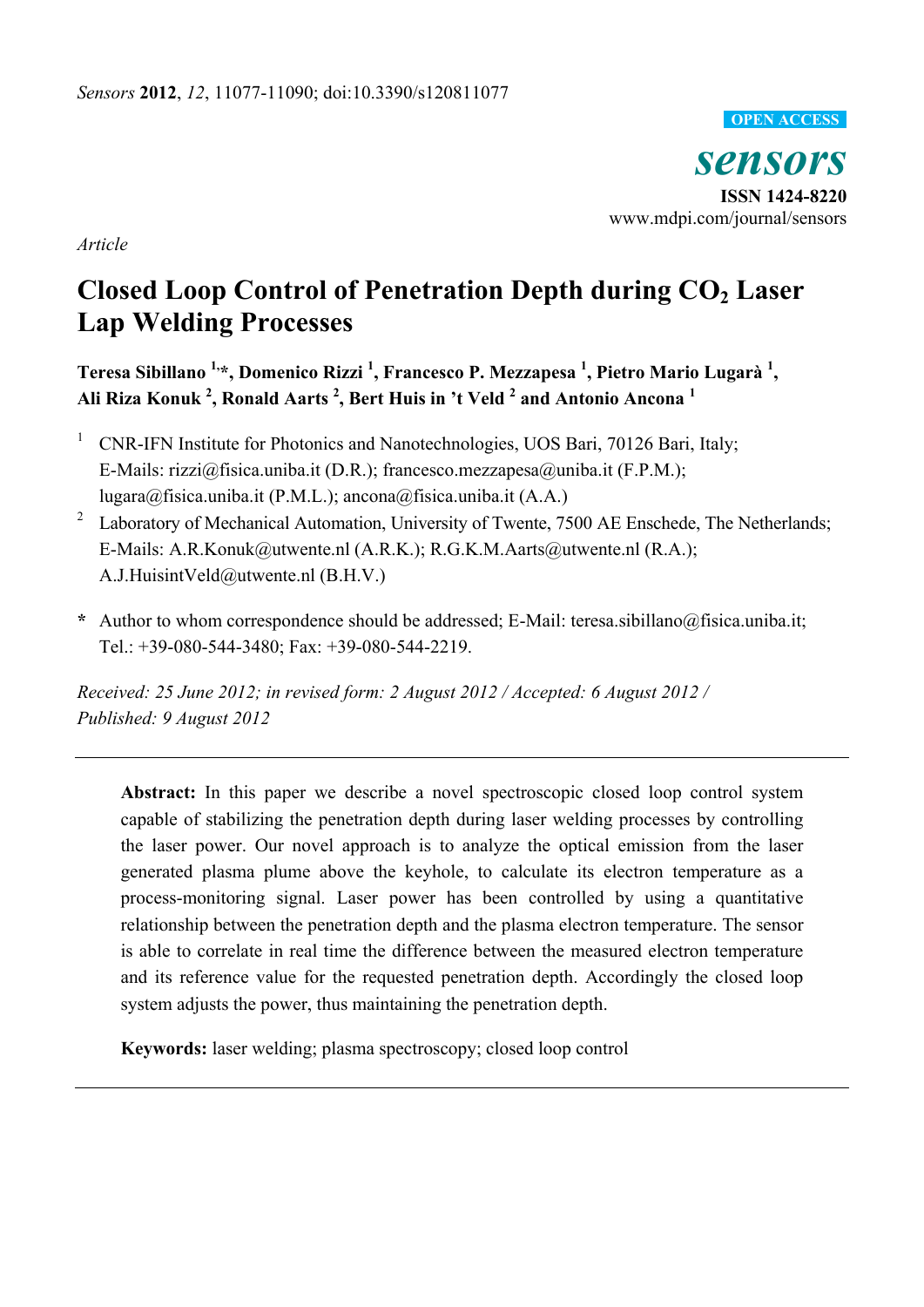## **OPEN ACCESS**

*sensors*  **ISSN 1424-8220**  www.mdpi.com/journal/sensors

*Article* 

# **Closed Loop Control of Penetration Depth during CO2 Laser Lap Welding Processes**

**Teresa Sibillano 1,\*, Domenico Rizzi 1 , Francesco P. Mezzapesa 1 , Pietro Mario Lugarà <sup>1</sup> ,**  Ali Riza Konuk <sup>2</sup>, Ronald Aarts <sup>2</sup>, Bert Huis in 't Veld <sup>2</sup> and Antonio Ancona <sup>1</sup>

- 1 CNR-IFN Institute for Photonics and Nanotechnologies, UOS Bari, 70126 Bari, Italy; E-Mails: rizzi@fisica.uniba.it (D.R.); francesco.mezzapesa@uniba.it (F.P.M.); lugara@fisica.uniba.it (P.M.L.); ancona@fisica.uniba.it (A.A.)
- 2 Laboratory of Mechanical Automation, University of Twente, 7500 AE Enschede, The Netherlands; E-Mails: A.R.Konuk@utwente.nl (A.R.K.); R.G.K.M.Aarts@utwente.nl (R.A.); A.J.HuisintVeld@utwente.nl (B.H.V.)
- **\*** Author to whom correspondence should be addressed; E-Mail: teresa.sibillano@fisica.uniba.it; Tel.: +39-080-544-3480; Fax: +39-080-544-2219.

*Received: 25 June 2012; in revised form: 2 August 2012 / Accepted: 6 August 2012 / Published: 9 August 2012* 

Abstract: In this paper we describe a novel spectroscopic closed loop control system capable of stabilizing the penetration depth during laser welding processes by controlling the laser power. Our novel approach is to analyze the optical emission from the laser generated plasma plume above the keyhole, to calculate its electron temperature as a process-monitoring signal. Laser power has been controlled by using a quantitative relationship between the penetration depth and the plasma electron temperature. The sensor is able to correlate in real time the difference between the measured electron temperature and its reference value for the requested penetration depth. Accordingly the closed loop system adjusts the power, thus maintaining the penetration depth.

**Keywords:** laser welding; plasma spectroscopy; closed loop control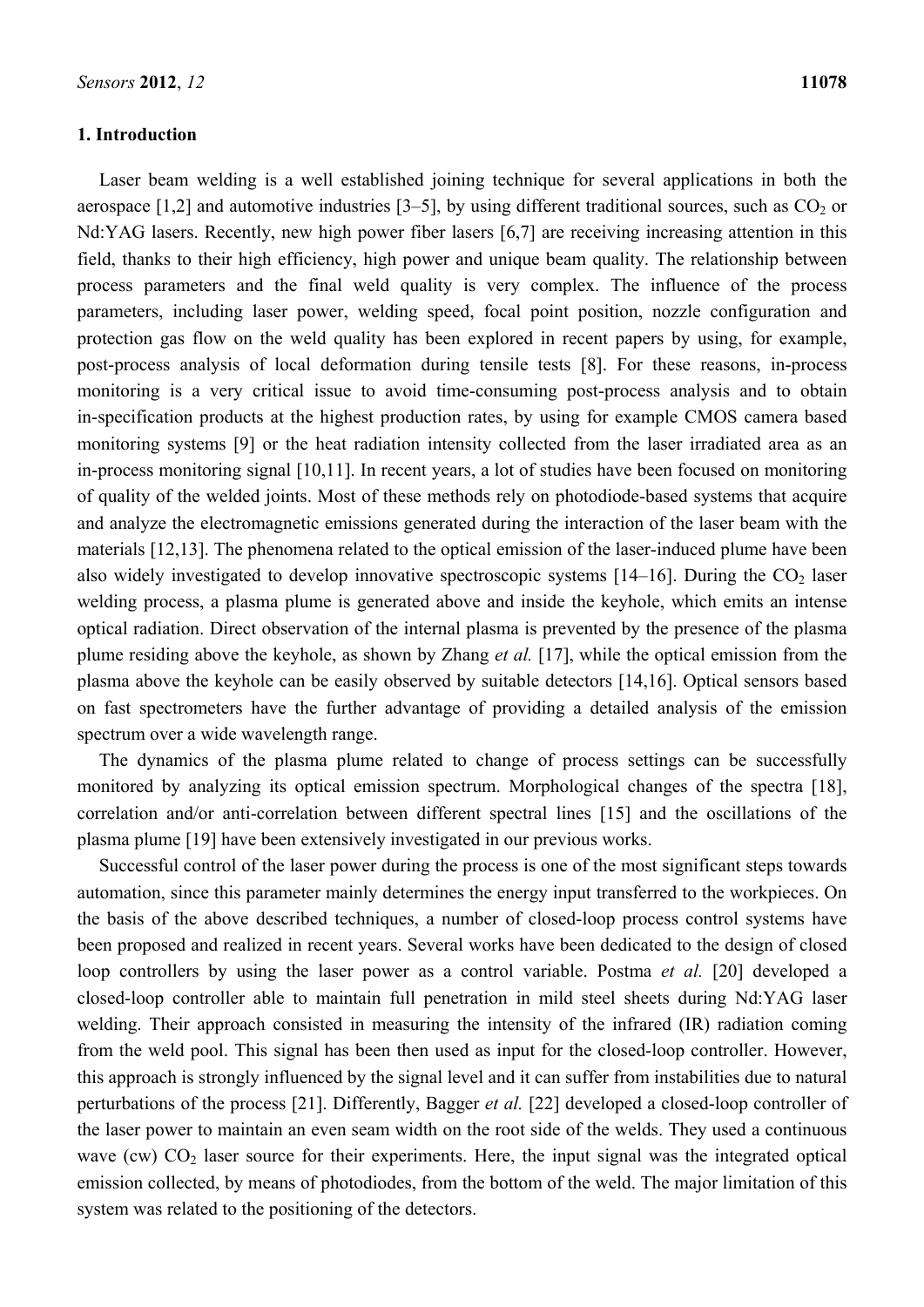## **1. Introduction**

Laser beam welding is a well established joining technique for several applications in both the aerospace [1,2] and automotive industries [3–5], by using different traditional sources, such as  $CO<sub>2</sub>$  or Nd:YAG lasers. Recently, new high power fiber lasers [6,7] are receiving increasing attention in this field, thanks to their high efficiency, high power and unique beam quality. The relationship between process parameters and the final weld quality is very complex. The influence of the process parameters, including laser power, welding speed, focal point position, nozzle configuration and protection gas flow on the weld quality has been explored in recent papers by using, for example, post-process analysis of local deformation during tensile tests [8]. For these reasons, in-process monitoring is a very critical issue to avoid time-consuming post-process analysis and to obtain in-specification products at the highest production rates, by using for example CMOS camera based monitoring systems [9] or the heat radiation intensity collected from the laser irradiated area as an in-process monitoring signal [10,11]. In recent years, a lot of studies have been focused on monitoring of quality of the welded joints. Most of these methods rely on photodiode-based systems that acquire and analyze the electromagnetic emissions generated during the interaction of the laser beam with the materials [12,13]. The phenomena related to the optical emission of the laser-induced plume have been also widely investigated to develop innovative spectroscopic systems  $[14–16]$ . During the  $CO<sub>2</sub>$  laser welding process, a plasma plume is generated above and inside the keyhole, which emits an intense optical radiation. Direct observation of the internal plasma is prevented by the presence of the plasma plume residing above the keyhole, as shown by Zhang *et al.* [17], while the optical emission from the plasma above the keyhole can be easily observed by suitable detectors [14,16]. Optical sensors based on fast spectrometers have the further advantage of providing a detailed analysis of the emission spectrum over a wide wavelength range.

The dynamics of the plasma plume related to change of process settings can be successfully monitored by analyzing its optical emission spectrum. Morphological changes of the spectra [18], correlation and/or anti-correlation between different spectral lines [15] and the oscillations of the plasma plume [19] have been extensively investigated in our previous works.

Successful control of the laser power during the process is one of the most significant steps towards automation, since this parameter mainly determines the energy input transferred to the workpieces. On the basis of the above described techniques, a number of closed-loop process control systems have been proposed and realized in recent years. Several works have been dedicated to the design of closed loop controllers by using the laser power as a control variable. Postma *et al.* [20] developed a closed-loop controller able to maintain full penetration in mild steel sheets during Nd:YAG laser welding. Their approach consisted in measuring the intensity of the infrared (IR) radiation coming from the weld pool. This signal has been then used as input for the closed-loop controller. However, this approach is strongly influenced by the signal level and it can suffer from instabilities due to natural perturbations of the process [21]. Differently, Bagger *et al.* [22] developed a closed-loop controller of the laser power to maintain an even seam width on the root side of the welds. They used a continuous wave (cw)  $CO<sub>2</sub>$  laser source for their experiments. Here, the input signal was the integrated optical emission collected, by means of photodiodes, from the bottom of the weld. The major limitation of this system was related to the positioning of the detectors.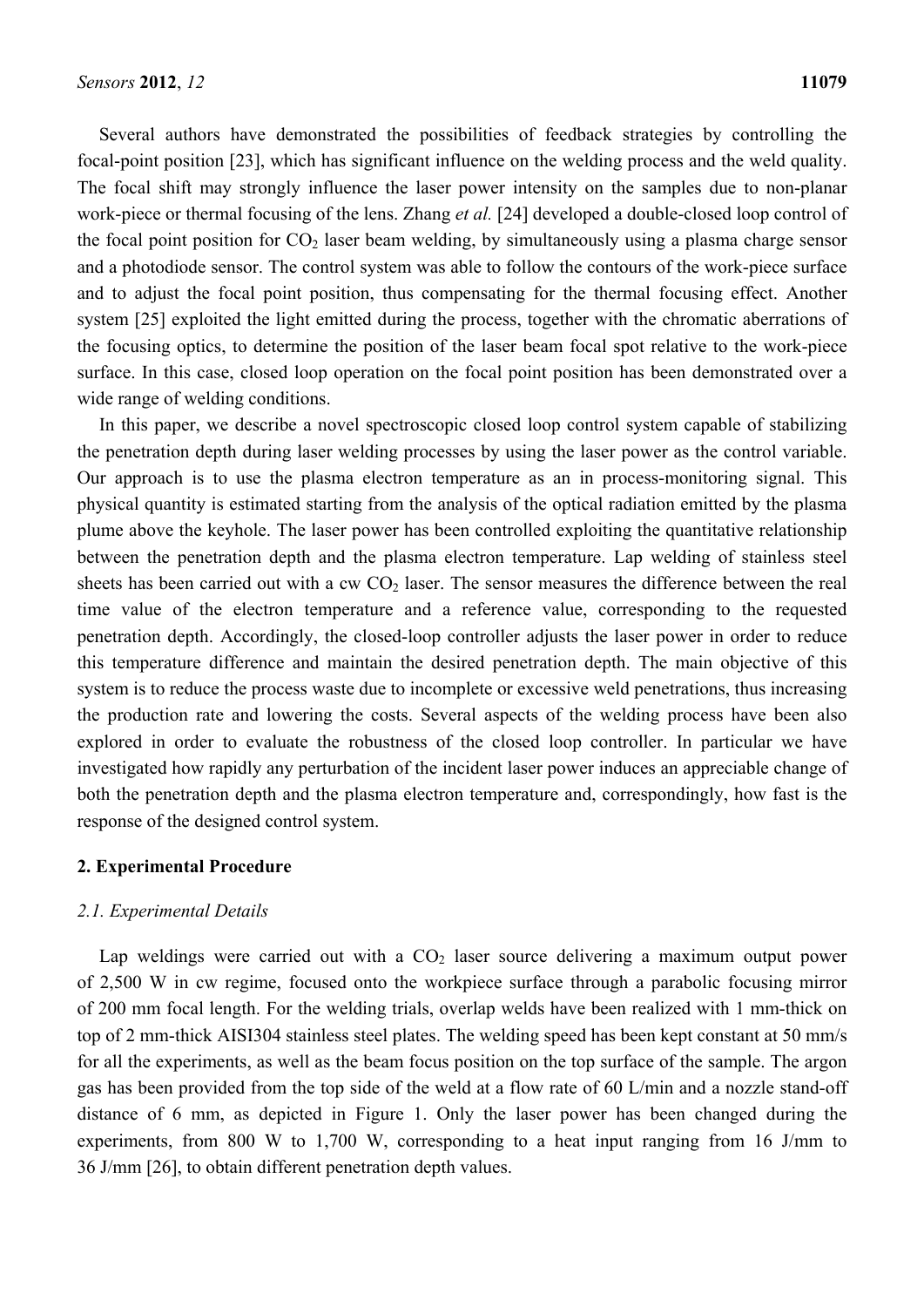Several authors have demonstrated the possibilities of feedback strategies by controlling the focal-point position [23], which has significant influence on the welding process and the weld quality. The focal shift may strongly influence the laser power intensity on the samples due to non-planar work-piece or thermal focusing of the lens. Zhang *et al.* [24] developed a double-closed loop control of the focal point position for  $CO<sub>2</sub>$  laser beam welding, by simultaneously using a plasma charge sensor and a photodiode sensor. The control system was able to follow the contours of the work-piece surface and to adjust the focal point position, thus compensating for the thermal focusing effect. Another system [25] exploited the light emitted during the process, together with the chromatic aberrations of the focusing optics, to determine the position of the laser beam focal spot relative to the work-piece surface. In this case, closed loop operation on the focal point position has been demonstrated over a wide range of welding conditions.

In this paper, we describe a novel spectroscopic closed loop control system capable of stabilizing the penetration depth during laser welding processes by using the laser power as the control variable. Our approach is to use the plasma electron temperature as an in process-monitoring signal. This physical quantity is estimated starting from the analysis of the optical radiation emitted by the plasma plume above the keyhole. The laser power has been controlled exploiting the quantitative relationship between the penetration depth and the plasma electron temperature. Lap welding of stainless steel sheets has been carried out with a cw  $CO<sub>2</sub>$  laser. The sensor measures the difference between the real time value of the electron temperature and a reference value, corresponding to the requested penetration depth. Accordingly, the closed-loop controller adjusts the laser power in order to reduce this temperature difference and maintain the desired penetration depth. The main objective of this system is to reduce the process waste due to incomplete or excessive weld penetrations, thus increasing the production rate and lowering the costs. Several aspects of the welding process have been also explored in order to evaluate the robustness of the closed loop controller. In particular we have investigated how rapidly any perturbation of the incident laser power induces an appreciable change of both the penetration depth and the plasma electron temperature and, correspondingly, how fast is the response of the designed control system.

## **2. Experimental Procedure**

#### *2.1. Experimental Details*

Lap weldings were carried out with a  $CO<sub>2</sub>$  laser source delivering a maximum output power of 2,500 W in cw regime, focused onto the workpiece surface through a parabolic focusing mirror of 200 mm focal length. For the welding trials, overlap welds have been realized with 1 mm-thick on top of 2 mm-thick AISI304 stainless steel plates. The welding speed has been kept constant at 50 mm/s for all the experiments, as well as the beam focus position on the top surface of the sample. The argon gas has been provided from the top side of the weld at a flow rate of 60 L/min and a nozzle stand-off distance of 6 mm, as depicted in Figure 1. Only the laser power has been changed during the experiments, from 800 W to 1,700 W, corresponding to a heat input ranging from 16 J/mm to 36 J/mm [26], to obtain different penetration depth values.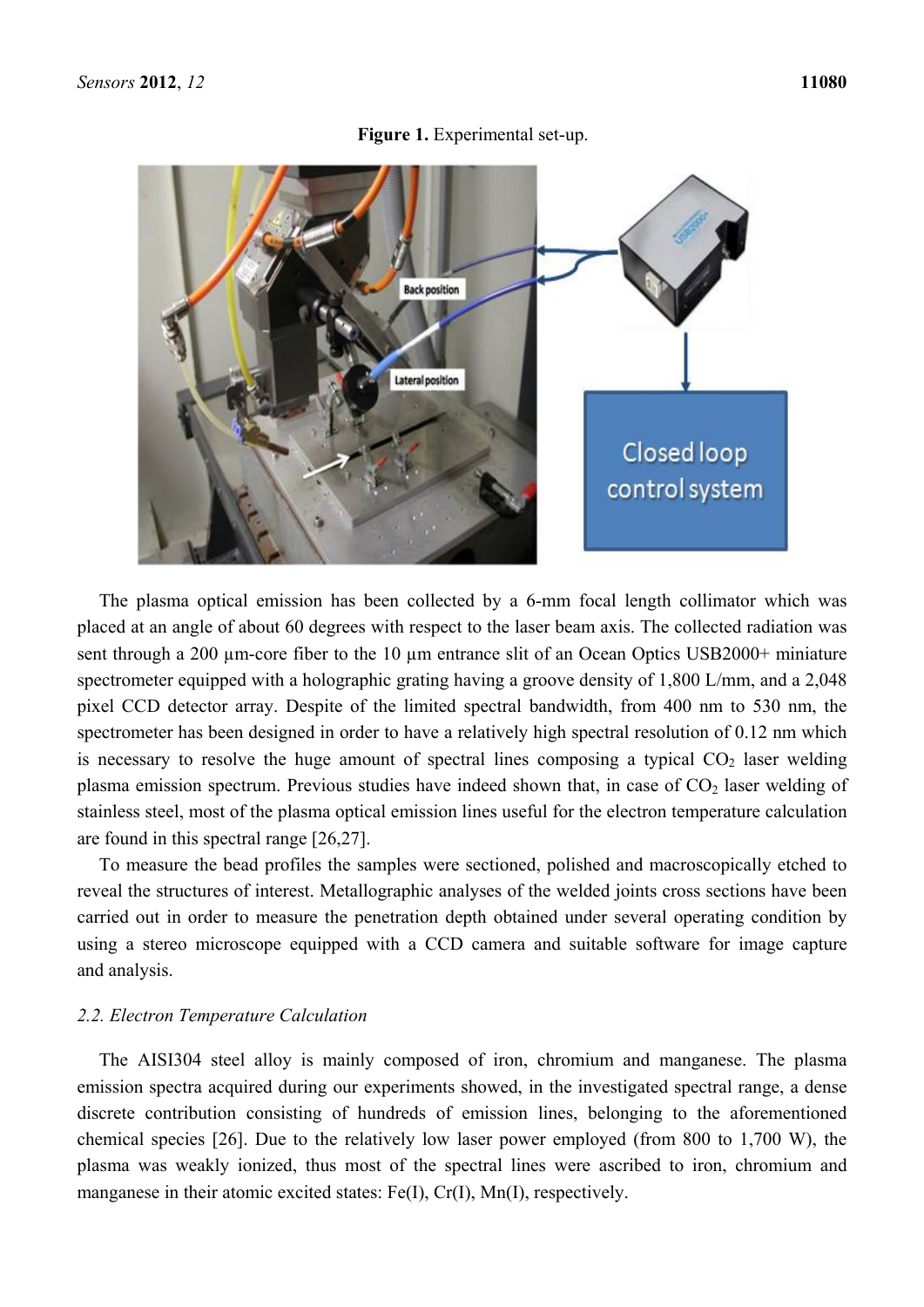



The plasma optical emission has been collected by a 6-mm focal length collimator which was placed at an angle of about 60 degrees with respect to the laser beam axis. The collected radiation was sent through a 200 µm-core fiber to the 10 µm entrance slit of an Ocean Optics USB2000+ miniature spectrometer equipped with a holographic grating having a groove density of 1,800 L/mm, and a 2,048 pixel CCD detector array. Despite of the limited spectral bandwidth, from 400 nm to 530 nm, the spectrometer has been designed in order to have a relatively high spectral resolution of 0.12 nm which is necessary to resolve the huge amount of spectral lines composing a typical  $CO<sub>2</sub>$  laser welding plasma emission spectrum. Previous studies have indeed shown that, in case of  $CO<sub>2</sub>$  laser welding of stainless steel, most of the plasma optical emission lines useful for the electron temperature calculation are found in this spectral range [26,27].

To measure the bead profiles the samples were sectioned, polished and macroscopically etched to reveal the structures of interest. Metallographic analyses of the welded joints cross sections have been carried out in order to measure the penetration depth obtained under several operating condition by using a stereo microscope equipped with a CCD camera and suitable software for image capture and analysis.

## *2.2. Electron Temperature Calculation*

The AISI304 steel alloy is mainly composed of iron, chromium and manganese. The plasma emission spectra acquired during our experiments showed, in the investigated spectral range, a dense discrete contribution consisting of hundreds of emission lines, belonging to the aforementioned chemical species [26]. Due to the relatively low laser power employed (from 800 to 1,700 W), the plasma was weakly ionized, thus most of the spectral lines were ascribed to iron, chromium and manganese in their atomic excited states: Fe(I), Cr(I), Mn(I), respectively.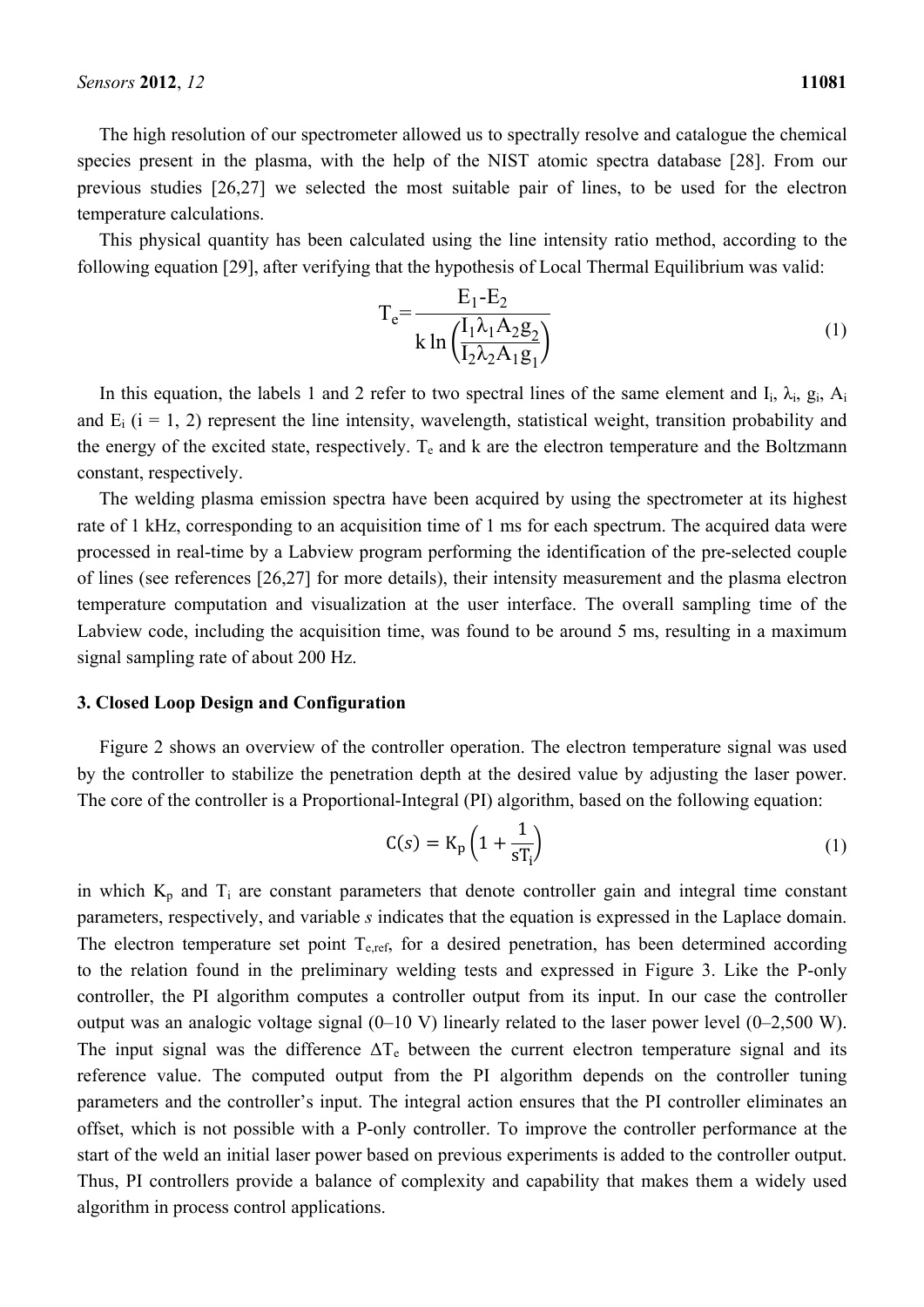The high resolution of our spectrometer allowed us to spectrally resolve and catalogue the chemical species present in the plasma, with the help of the NIST atomic spectra database [28]. From our previous studies [26,27] we selected the most suitable pair of lines, to be used for the electron temperature calculations.

This physical quantity has been calculated using the line intensity ratio method, according to the following equation [29], after verifying that the hypothesis of Local Thermal Equilibrium was valid:

$$
T_e = \frac{E_1 - E_2}{k \ln \left(\frac{I_1 \lambda_1 A_2 g_2}{I_2 \lambda_2 A_1 g_1}\right)}
$$
(1)

In this equation, the labels 1 and 2 refer to two spectral lines of the same element and  $I_i$ ,  $\lambda_i$ ,  $g_i$ ,  $A_i$ and  $E_i$  (i = 1, 2) represent the line intensity, wavelength, statistical weight, transition probability and the energy of the excited state, respectively.  $T_e$  and k are the electron temperature and the Boltzmann constant, respectively.

The welding plasma emission spectra have been acquired by using the spectrometer at its highest rate of 1 kHz, corresponding to an acquisition time of 1 ms for each spectrum. The acquired data were processed in real-time by a Labview program performing the identification of the pre-selected couple of lines (see references [26,27] for more details), their intensity measurement and the plasma electron temperature computation and visualization at the user interface. The overall sampling time of the Labview code, including the acquisition time, was found to be around 5 ms, resulting in a maximum signal sampling rate of about 200 Hz.

#### **3. Closed Loop Design and Configuration**

Figure 2 shows an overview of the controller operation. The electron temperature signal was used by the controller to stabilize the penetration depth at the desired value by adjusting the laser power. The core of the controller is a Proportional-Integral (PI) algorithm, based on the following equation:

$$
C(s) = K_{p} \left( 1 + \frac{1}{sT_{i}} \right)
$$
 (1)

in which  $K_p$  and  $T_i$  are constant parameters that denote controller gain and integral time constant parameters, respectively, and variable *s* indicates that the equation is expressed in the Laplace domain. The electron temperature set point  $T_{\text{e,ref}}$ , for a desired penetration, has been determined according to the relation found in the preliminary welding tests and expressed in Figure 3. Like the P-only controller, the PI algorithm computes a controller output from its input. In our case the controller output was an analogic voltage signal  $(0-10 \text{ V})$  linearly related to the laser power level  $(0-2,500 \text{ W})$ . The input signal was the difference  $\Delta T_e$  between the current electron temperature signal and its reference value. The computed output from the PI algorithm depends on the controller tuning parameters and the controller's input. The integral action ensures that the PI controller eliminates an offset, which is not possible with a P-only controller. To improve the controller performance at the start of the weld an initial laser power based on previous experiments is added to the controller output. Thus, PI controllers provide a balance of complexity and capability that makes them a widely used algorithm in process control applications.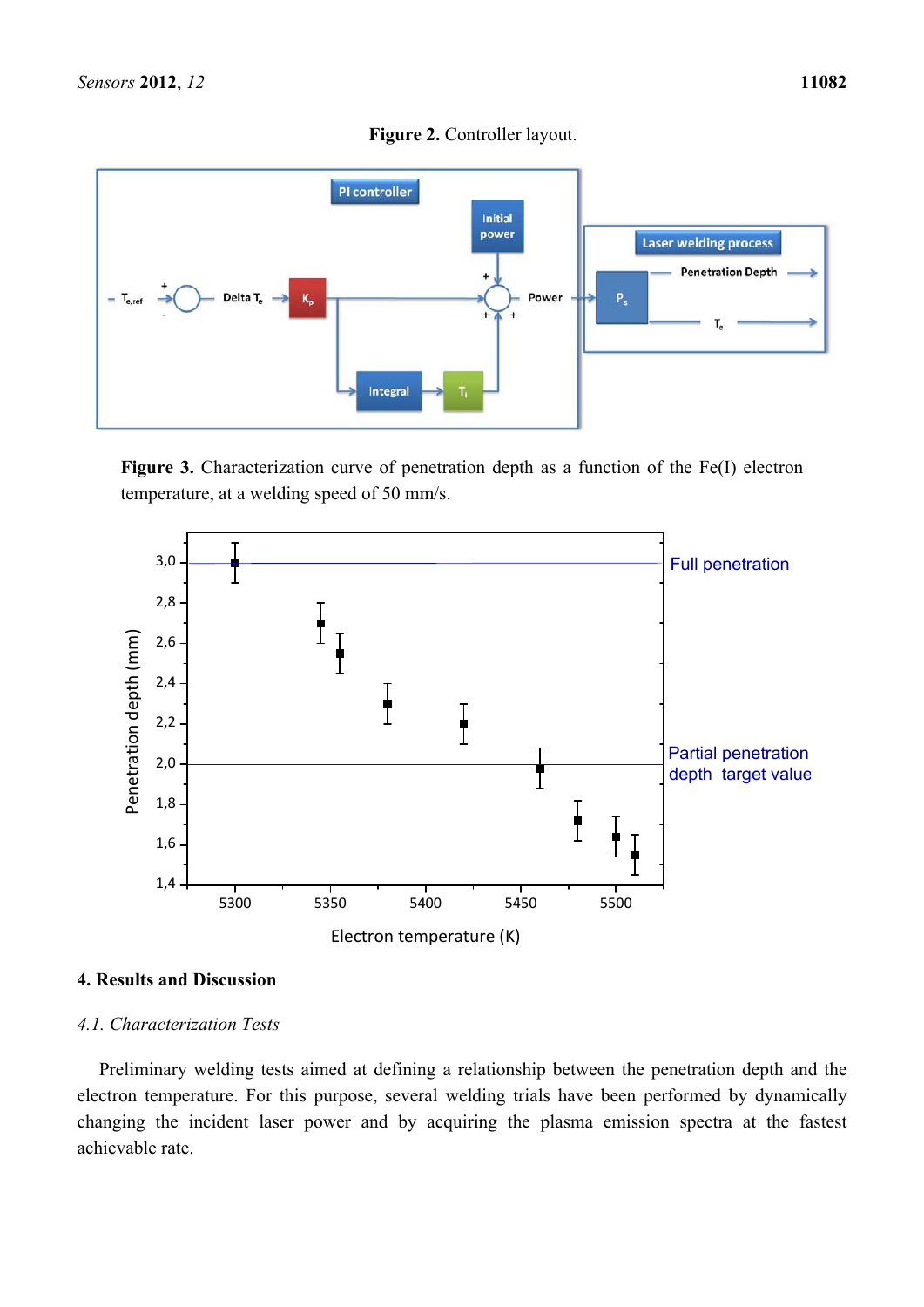

**Figure 3.** Characterization curve of penetration depth as a function of the Fe(I) electron temperature, at a welding speed of 50 mm/s.



# **4. Results and Discussion**

## *4.1. Characterization Tests*

Preliminary welding tests aimed at defining a relationship between the penetration depth and the electron temperature. For this purpose, several welding trials have been performed by dynamically changing the incident laser power and by acquiring the plasma emission spectra at the fastest achievable rate.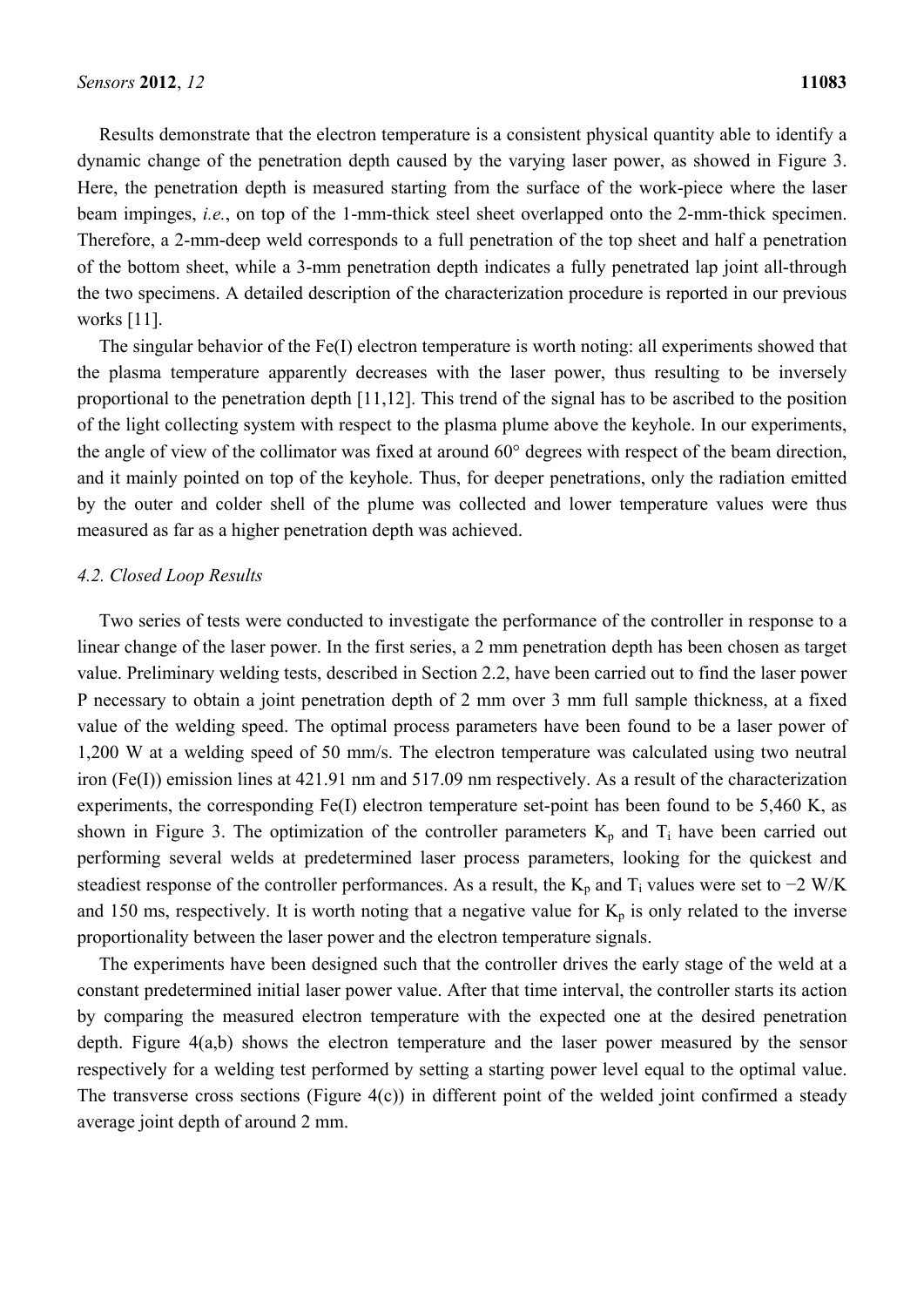Results demonstrate that the electron temperature is a consistent physical quantity able to identify a dynamic change of the penetration depth caused by the varying laser power, as showed in Figure 3. Here, the penetration depth is measured starting from the surface of the work-piece where the laser beam impinges, *i.e.*, on top of the 1-mm-thick steel sheet overlapped onto the 2-mm-thick specimen. Therefore, a 2-mm-deep weld corresponds to a full penetration of the top sheet and half a penetration of the bottom sheet, while a 3-mm penetration depth indicates a fully penetrated lap joint all-through the two specimens. A detailed description of the characterization procedure is reported in our previous works [11].

The singular behavior of the Fe(I) electron temperature is worth noting: all experiments showed that the plasma temperature apparently decreases with the laser power, thus resulting to be inversely proportional to the penetration depth [11,12]. This trend of the signal has to be ascribed to the position of the light collecting system with respect to the plasma plume above the keyhole. In our experiments, the angle of view of the collimator was fixed at around 60° degrees with respect of the beam direction, and it mainly pointed on top of the keyhole. Thus, for deeper penetrations, only the radiation emitted by the outer and colder shell of the plume was collected and lower temperature values were thus measured as far as a higher penetration depth was achieved.

## *4.2. Closed Loop Results*

Two series of tests were conducted to investigate the performance of the controller in response to a linear change of the laser power. In the first series, a 2 mm penetration depth has been chosen as target value. Preliminary welding tests, described in Section 2.2, have been carried out to find the laser power P necessary to obtain a joint penetration depth of 2 mm over 3 mm full sample thickness, at a fixed value of the welding speed. The optimal process parameters have been found to be a laser power of 1,200 W at a welding speed of 50 mm/s. The electron temperature was calculated using two neutral iron (Fe(I)) emission lines at 421.91 nm and 517.09 nm respectively. As a result of the characterization experiments, the corresponding Fe(I) electron temperature set-point has been found to be 5,460 K, as shown in Figure 3. The optimization of the controller parameters  $K_p$  and  $T_i$  have been carried out performing several welds at predetermined laser process parameters, looking for the quickest and steadiest response of the controller performances. As a result, the K<sub>p</sub> and T<sub>i</sub> values were set to −2 W/K and 150 ms, respectively. It is worth noting that a negative value for  $K_p$  is only related to the inverse proportionality between the laser power and the electron temperature signals.

The experiments have been designed such that the controller drives the early stage of the weld at a constant predetermined initial laser power value. After that time interval, the controller starts its action by comparing the measured electron temperature with the expected one at the desired penetration depth. Figure 4(a,b) shows the electron temperature and the laser power measured by the sensor respectively for a welding test performed by setting a starting power level equal to the optimal value. The transverse cross sections (Figure  $4(c)$ ) in different point of the welded joint confirmed a steady average joint depth of around 2 mm.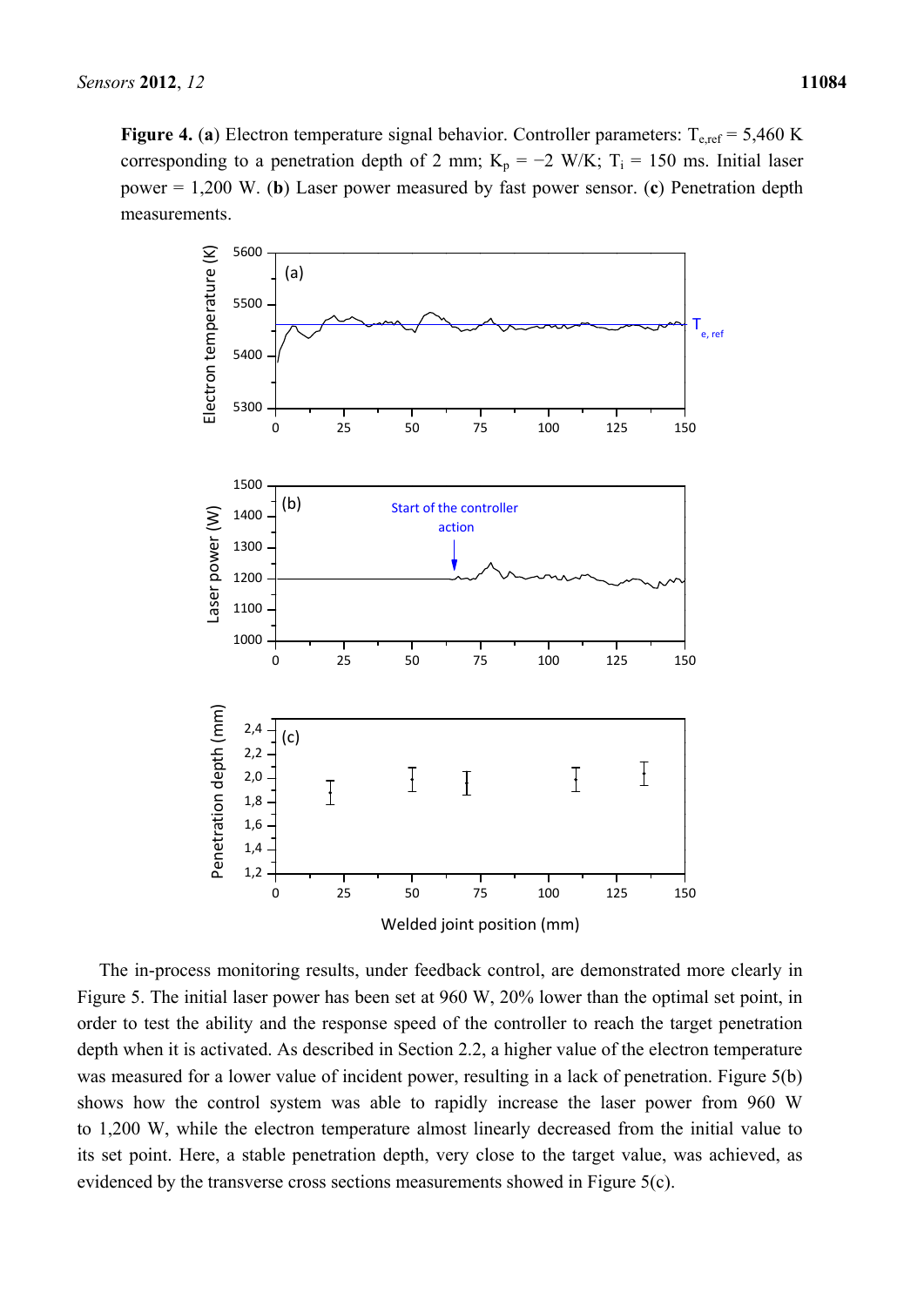**Figure 4.** (a) Electron temperature signal behavior. Controller parameters:  $T_{\text{e,ref}} = 5,460 \text{ K}$ corresponding to a penetration depth of 2 mm; K<sub>p</sub> = −2 W/K; T<sub>i</sub> = 150 ms. Initial laser power = 1,200 W. (**b**) Laser power measured by fast power sensor. (**c**) Penetration depth measurements.



The in-process monitoring results, under feedback control, are demonstrated more clearly in Figure 5. The initial laser power has been set at 960 W, 20% lower than the optimal set point, in order to test the ability and the response speed of the controller to reach the target penetration depth when it is activated. As described in Section 2.2, a higher value of the electron temperature was measured for a lower value of incident power, resulting in a lack of penetration. Figure 5(b) shows how the control system was able to rapidly increase the laser power from 960 W to 1,200 W, while the electron temperature almost linearly decreased from the initial value to its set point. Here, a stable penetration depth, very close to the target value, was achieved, as evidenced by the transverse cross sections measurements showed in Figure 5(c).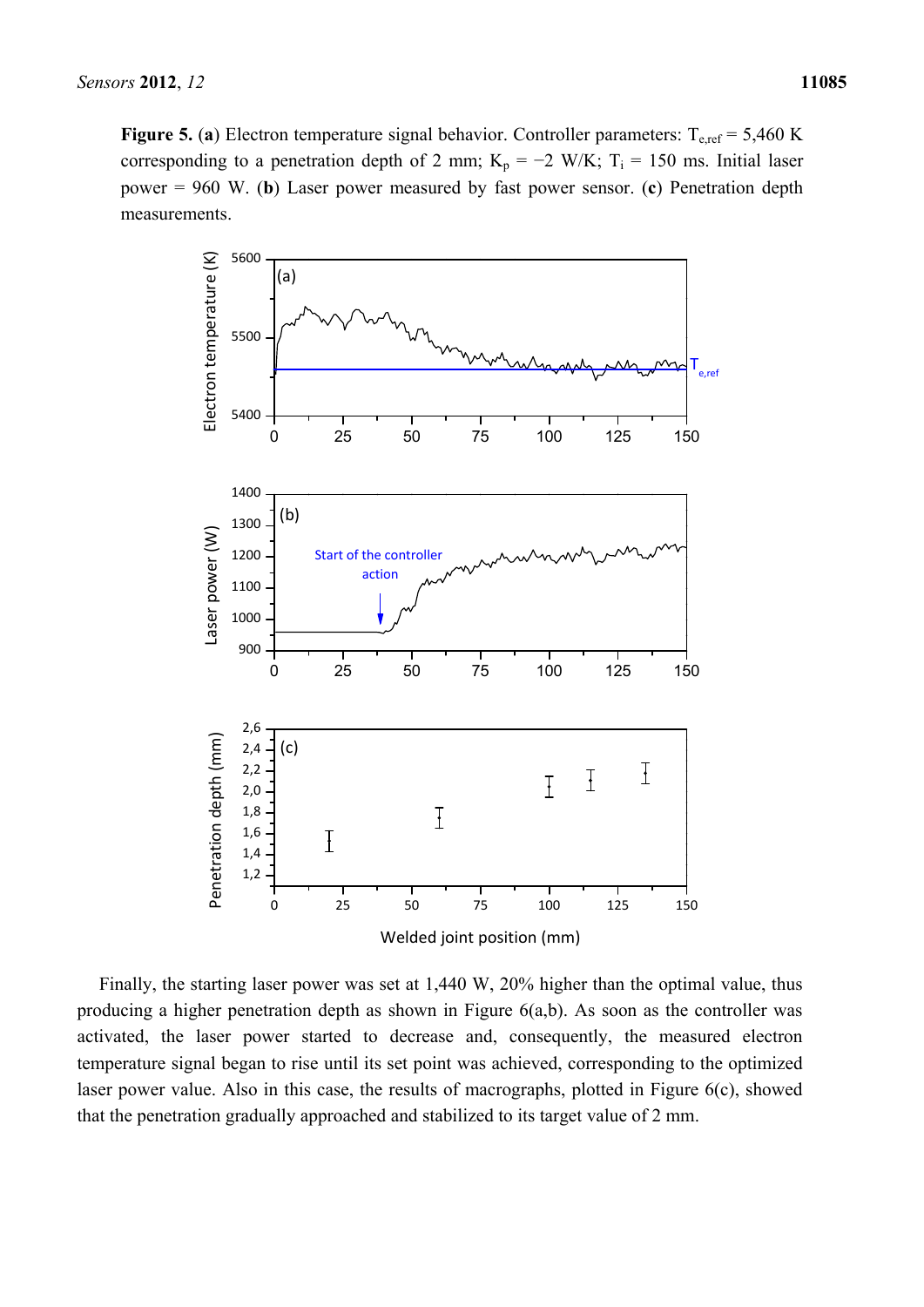

Finally, the starting laser power was set at 1,440 W, 20% higher than the optimal value, thus producing a higher penetration depth as shown in Figure 6(a,b). As soon as the controller was activated, the laser power started to decrease and, consequently, the measured electron temperature signal began to rise until its set point was achieved, corresponding to the optimized laser power value. Also in this case, the results of macrographs, plotted in Figure 6(c), showed that the penetration gradually approached and stabilized to its target value of 2 mm.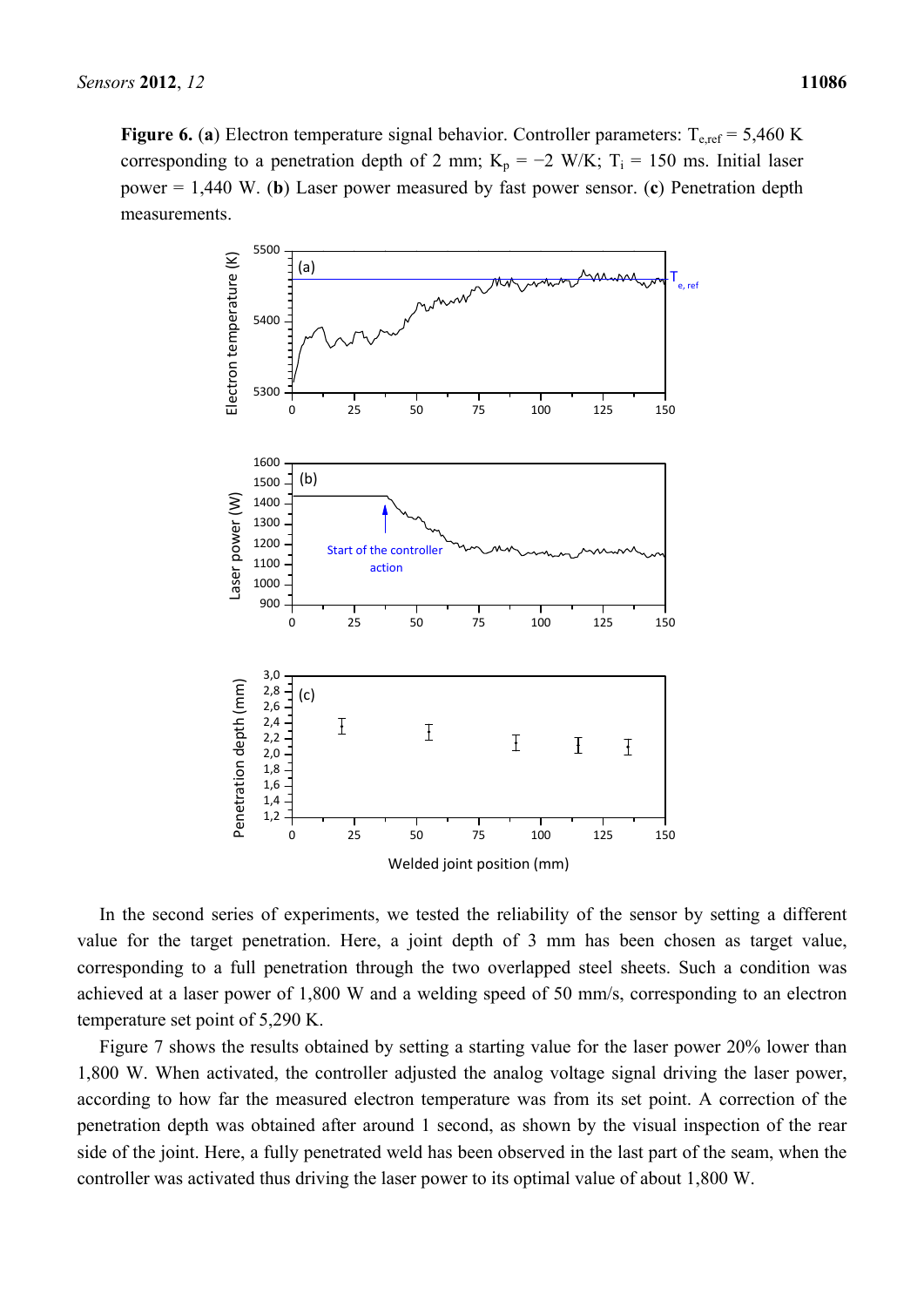

In the second series of experiments, we tested the reliability of the sensor by setting a different value for the target penetration. Here, a joint depth of 3 mm has been chosen as target value, corresponding to a full penetration through the two overlapped steel sheets. Such a condition was achieved at a laser power of 1,800 W and a welding speed of 50 mm/s, corresponding to an electron temperature set point of 5,290 K.

Figure 7 shows the results obtained by setting a starting value for the laser power 20% lower than 1,800 W. When activated, the controller adjusted the analog voltage signal driving the laser power, according to how far the measured electron temperature was from its set point. A correction of the penetration depth was obtained after around 1 second, as shown by the visual inspection of the rear side of the joint. Here, a fully penetrated weld has been observed in the last part of the seam, when the controller was activated thus driving the laser power to its optimal value of about 1,800 W.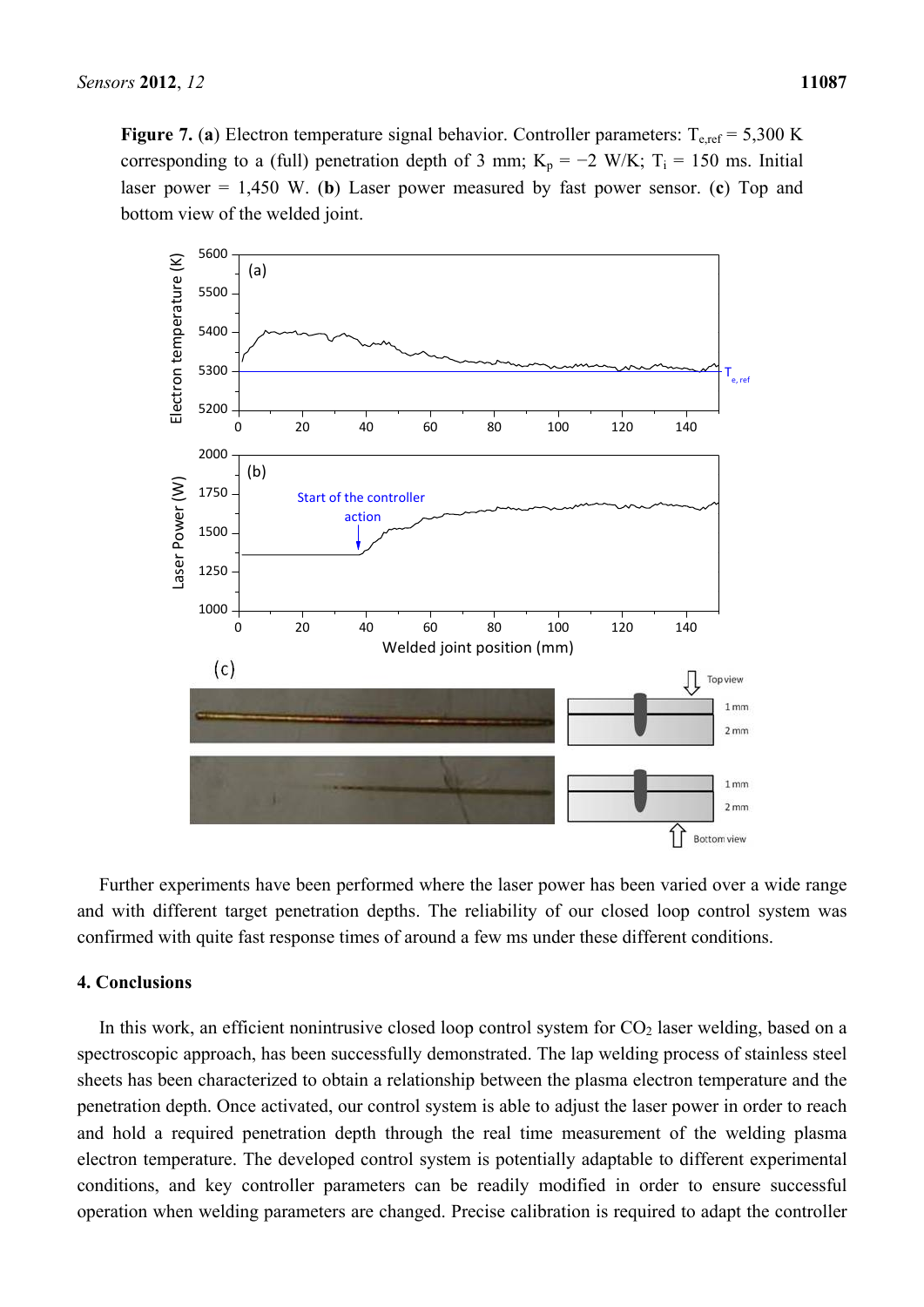**Figure 7.** (a) Electron temperature signal behavior. Controller parameters:  $T_{\text{e,ref}} = 5,300 \text{ K}$ corresponding to a (full) penetration depth of 3 mm; K<sub>p</sub> = −2 W/K; T<sub>i</sub> = 150 ms. Initial laser power = 1,450 W. (**b**) Laser power measured by fast power sensor. (**c**) Top and bottom view of the welded joint.



Further experiments have been performed where the laser power has been varied over a wide range and with different target penetration depths. The reliability of our closed loop control system was confirmed with quite fast response times of around a few ms under these different conditions.

## **4. Conclusions**

In this work, an efficient nonintrusive closed loop control system for  $CO<sub>2</sub>$  laser welding, based on a spectroscopic approach, has been successfully demonstrated. The lap welding process of stainless steel sheets has been characterized to obtain a relationship between the plasma electron temperature and the penetration depth. Once activated, our control system is able to adjust the laser power in order to reach and hold a required penetration depth through the real time measurement of the welding plasma electron temperature. The developed control system is potentially adaptable to different experimental conditions, and key controller parameters can be readily modified in order to ensure successful operation when welding parameters are changed. Precise calibration is required to adapt the controller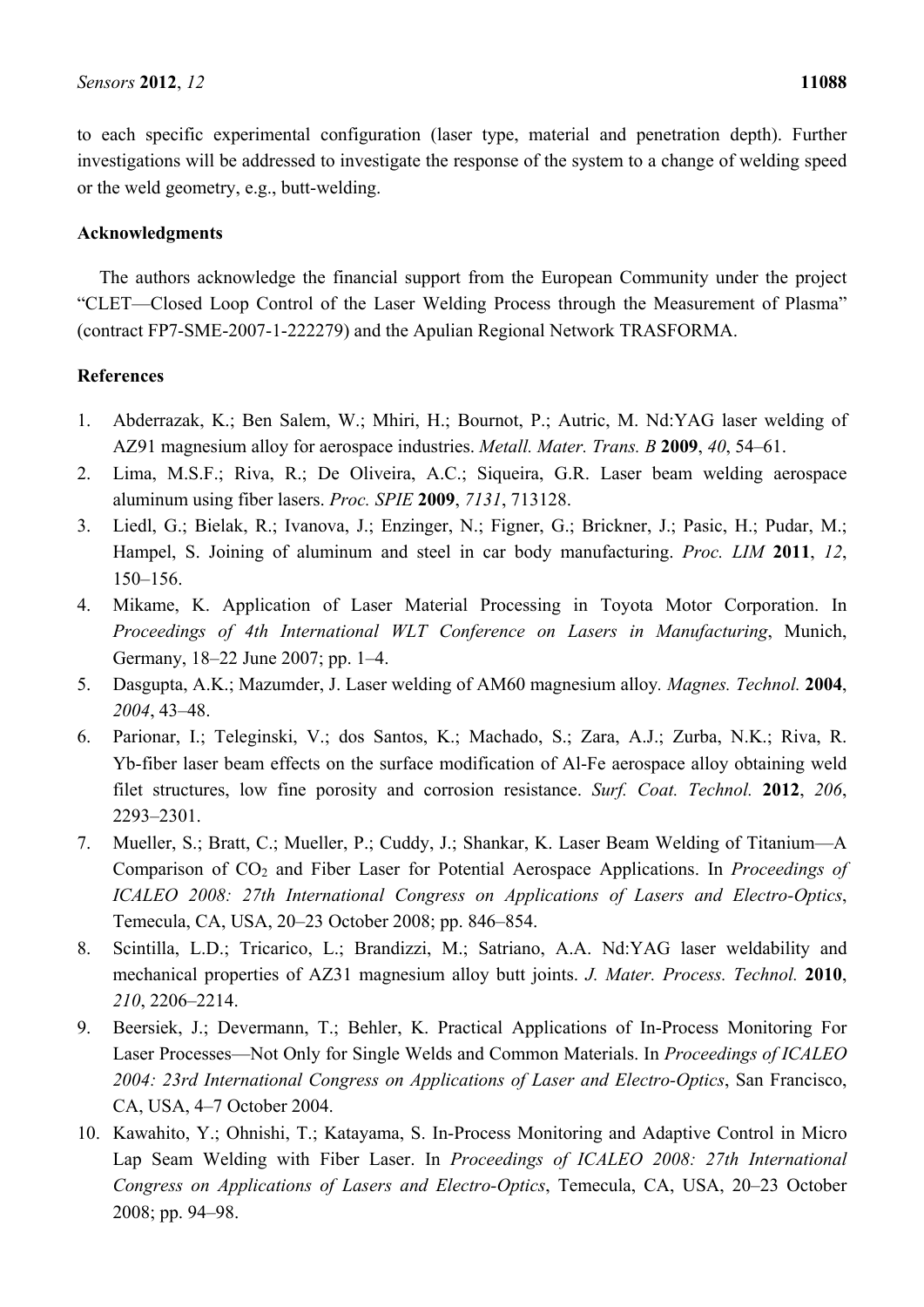to each specific experimental configuration (laser type, material and penetration depth). Further investigations will be addressed to investigate the response of the system to a change of welding speed or the weld geometry, e.g., butt-welding.

## **Acknowledgments**

The authors acknowledge the financial support from the European Community under the project "CLET—Closed Loop Control of the Laser Welding Process through the Measurement of Plasma" (contract FP7-SME-2007-1-222279) and the Apulian Regional Network TRASFORMA.

## **References**

- 1. Abderrazak, K.; Ben Salem, W.; Mhiri, H.; Bournot, P.; Autric, M. Nd:YAG laser welding of AZ91 magnesium alloy for aerospace industries. *Metall. Mater. Trans. B* **2009**, *40*, 54–61.
- 2. Lima, M.S.F.; Riva, R.; De Oliveira, A.C.; Siqueira, G.R. Laser beam welding aerospace aluminum using fiber lasers. *Proc. SPIE* **2009**, *7131*, 713128.
- 3. Liedl, G.; Bielak, R.; Ivanova, J.; Enzinger, N.; Figner, G.; Brickner, J.; Pasic, H.; Pudar, M.; Hampel, S. Joining of aluminum and steel in car body manufacturing. *Proc. LIM* **2011**, *12*, 150–156.
- 4. Mikame, K. Application of Laser Material Processing in Toyota Motor Corporation. In *Proceedings of 4th International WLT Conference on Lasers in Manufacturing*, Munich, Germany, 18–22 June 2007; pp. 1–4.
- 5. Dasgupta, A.K.; Mazumder, J. Laser welding of AM60 magnesium alloy*. Magnes. Technol.* **2004**, *2004*, 43–48.
- 6. Parionar, I.; Teleginski, V.; dos Santos, K.; Machado, S.; Zara, A.J.; Zurba, N.K.; Riva, R. Yb-fiber laser beam effects on the surface modification of Al-Fe aerospace alloy obtaining weld filet structures, low fine porosity and corrosion resistance. *Surf. Coat. Technol.* **2012**, *206*, 2293–2301.
- 7. Mueller, S.; Bratt, C.; Mueller, P.; Cuddy, J.; Shankar, K. Laser Beam Welding of Titanium—A Comparison of CO2 and Fiber Laser for Potential Aerospace Applications. In *Proceedings of ICALEO 2008: 27th International Congress on Applications of Lasers and Electro-Optics*, Temecula, CA, USA, 20–23 October 2008; pp. 846–854.
- 8. Scintilla, L.D.; Tricarico, L.; Brandizzi, M.; Satriano, A.A. Nd:YAG laser weldability and mechanical properties of AZ31 magnesium alloy butt joints. *J. Mater. Process. Technol.* **2010**, *210*, 2206–2214.
- 9. Beersiek, J.; Devermann, T.; Behler, K. Practical Applications of In-Process Monitoring For Laser Processes—Not Only for Single Welds and Common Materials. In *Proceedings of ICALEO 2004: 23rd International Congress on Applications of Laser and Electro-Optics*, San Francisco, CA, USA, 4–7 October 2004.
- 10. Kawahito, Y.; Ohnishi, T.; Katayama, S. In-Process Monitoring and Adaptive Control in Micro Lap Seam Welding with Fiber Laser. In *Proceedings of ICALEO 2008: 27th International Congress on Applications of Lasers and Electro-Optics*, Temecula, CA, USA, 20–23 October 2008; pp. 94–98.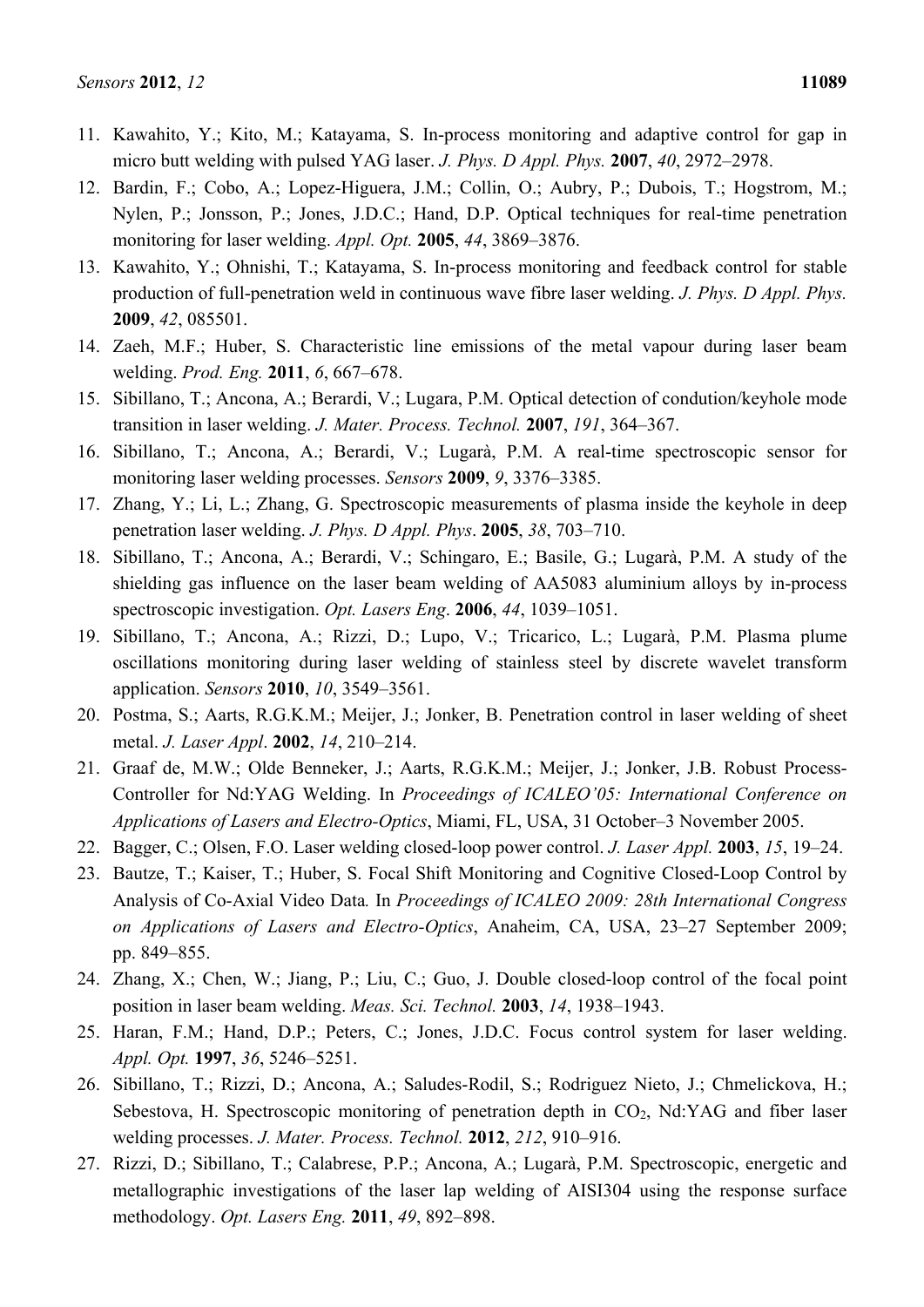- 11. Kawahito, Y.; Kito, M.; Katayama, S. In-process monitoring and adaptive control for gap in micro butt welding with pulsed YAG laser. *J. Phys. D Appl. Phys.* **2007**, *40*, 2972–2978.
- 12. Bardin, F.; Cobo, A.; Lopez-Higuera, J.M.; Collin, O.; Aubry, P.; Dubois, T.; Hogstrom, M.; Nylen, P.; Jonsson, P.; Jones, J.D.C.; Hand, D.P. Optical techniques for real-time penetration monitoring for laser welding. *Appl. Opt.* **2005**, *44*, 3869–3876.
- 13. Kawahito, Y.; Ohnishi, T.; Katayama, S. In-process monitoring and feedback control for stable production of full-penetration weld in continuous wave fibre laser welding. *J. Phys. D Appl. Phys.*  **2009**, *42*, 085501.
- 14. Zaeh, M.F.; Huber, S. Characteristic line emissions of the metal vapour during laser beam welding. *Prod. Eng.* **2011**, *6*, 667–678.
- 15. Sibillano, T.; Ancona, A.; Berardi, V.; Lugara, P.M. Optical detection of condution/keyhole mode transition in laser welding. *J. Mater. Process. Technol.* **2007**, *191*, 364–367.
- 16. Sibillano, T.; Ancona, A.; Berardi, V.; Lugarà, P.M. A real-time spectroscopic sensor for monitoring laser welding processes. *Sensors* **2009**, *9*, 3376–3385.
- 17. Zhang, Y.; Li, L.; Zhang, G. Spectroscopic measurements of plasma inside the keyhole in deep penetration laser welding. *J. Phys. D Appl. Phys*. **2005**, *38*, 703–710.
- 18. Sibillano, T.; Ancona, A.; Berardi, V.; Schingaro, E.; Basile, G.; Lugarà, P.M. A study of the shielding gas influence on the laser beam welding of AA5083 aluminium alloys by in-process spectroscopic investigation. *Opt. Lasers Eng*. **2006**, *44*, 1039–1051.
- 19. Sibillano, T.; Ancona, A.; Rizzi, D.; Lupo, V.; Tricarico, L.; Lugarà, P.M. Plasma plume oscillations monitoring during laser welding of stainless steel by discrete wavelet transform application. *Sensors* **2010**, *10*, 3549–3561.
- 20. Postma, S.; Aarts, R.G.K.M.; Meijer, J.; Jonker, B. Penetration control in laser welding of sheet metal. *J. Laser Appl*. **2002**, *14*, 210–214.
- 21. Graaf de, M.W.; Olde Benneker, J.; Aarts, R.G.K.M.; Meijer, J.; Jonker, J.B. Robust Process-Controller for Nd:YAG Welding. In *Proceedings of ICALEO'05: International Conference on Applications of Lasers and Electro-Optics*, Miami, FL, USA, 31 October–3 November 2005.
- 22. Bagger, C.; Olsen, F.O. Laser welding closed-loop power control. *J. Laser Appl.* **2003**, *15*, 19–24.
- 23. Bautze, T.; Kaiser, T.; Huber, S. Focal Shift Monitoring and Cognitive Closed-Loop Control by Analysis of Co-Axial Video Data*.* In *Proceedings of ICALEO 2009: 28th International Congress on Applications of Lasers and Electro-Optics*, Anaheim, CA, USA, 23–27 September 2009; pp. 849–855.
- 24. Zhang, X.; Chen, W.; Jiang, P.; Liu, C.; Guo, J. Double closed-loop control of the focal point position in laser beam welding. *Meas. Sci. Technol.* **2003**, *14*, 1938–1943.
- 25. Haran, F.M.; Hand, D.P.; Peters, C.; Jones, J.D.C. Focus control system for laser welding. *Appl. Opt.* **1997**, *36*, 5246–5251.
- 26. Sibillano, T.; Rizzi, D.; Ancona, A.; Saludes-Rodil, S.; Rodriguez Nieto, J.; Chmelickova, H.; Sebestova, H. Spectroscopic monitoring of penetration depth in  $CO<sub>2</sub>$ , Nd:YAG and fiber laser welding processes. *J. Mater. Process. Technol.* **2012**, *212*, 910–916.
- 27. Rizzi, D.; Sibillano, T.; Calabrese, P.P.; Ancona, A.; Lugarà, P.M. Spectroscopic, energetic and metallographic investigations of the laser lap welding of AISI304 using the response surface methodology. *Opt. Lasers Eng.* **2011**, *49*, 892–898.